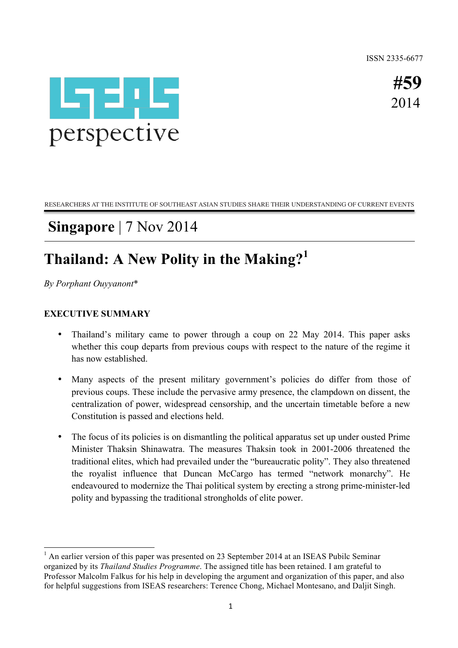ISSN 2335-6677



**#59** 2014

RESEARCHERS AT THE INSTITUTE OF SOUTHEAST ASIAN STUDIES SHARE THEIR UNDERSTANDING OF CURRENT EVENTS

## **Singapore** | 7 Nov 2014

# **Thailand: A New Polity in the Making?<sup>1</sup>**

*By Porphant Ouyyanont*\*

### **EXECUTIVE SUMMARY**

- Thailand's military came to power through a coup on 22 May 2014. This paper asks whether this coup departs from previous coups with respect to the nature of the regime it has now established.
- Many aspects of the present military government's policies do differ from those of previous coups. These include the pervasive army presence, the clampdown on dissent, the centralization of power, widespread censorship, and the uncertain timetable before a new Constitution is passed and elections held.
- The focus of its policies is on dismantling the political apparatus set up under ousted Prime Minister Thaksin Shinawatra. The measures Thaksin took in 2001-2006 threatened the traditional elites, which had prevailed under the "bureaucratic polity". They also threatened the royalist influence that Duncan McCargo has termed "network monarchy". He endeavoured to modernize the Thai political system by erecting a strong prime-minister-led polity and bypassing the traditional strongholds of elite power.

<sup>&</sup>lt;sup>1</sup> An earlier version of this paper was presented on 23 September 2014 at an ISEAS Pubilc Seminar organized by its *Thailand Studies Programme*. The assigned title has been retained. I am grateful to Professor Malcolm Falkus for his help in developing the argument and organization of this paper, and also for helpful suggestions from ISEAS researchers: Terence Chong, Michael Montesano, and Daljit Singh.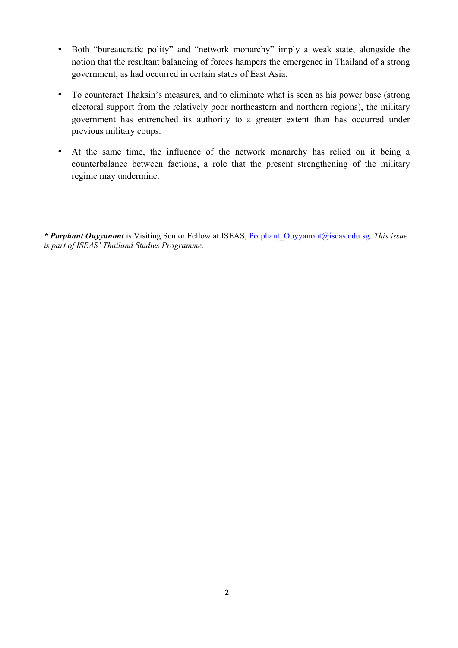- Both "bureaucratic polity" and "network monarchy" imply a weak state, alongside the notion that the resultant balancing of forces hampers the emergence in Thailand of a strong government, as had occurred in certain states of East Asia.
- To counteract Thaksin's measures, and to eliminate what is seen as his power base (strong electoral support from the relatively poor northeastern and northern regions), the military government has entrenched its authority to a greater extent than has occurred under previous military coups.
- At the same time, the influence of the network monarchy has relied on it being a counterbalance between factions, a role that the present strengthening of the military regime may undermine.

*\* Porphant Ouyyanont* is Visiting Senior Fellow at ISEAS; Porphant\_Ouyyanont@iseas.edu.sg. *This issue is part of ISEAS' Thailand Studies Programme.*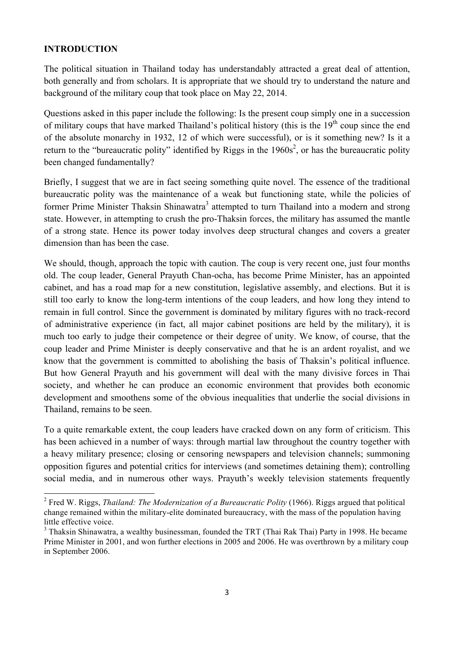### **INTRODUCTION**

 

The political situation in Thailand today has understandably attracted a great deal of attention, both generally and from scholars. It is appropriate that we should try to understand the nature and background of the military coup that took place on May 22, 2014.

Questions asked in this paper include the following: Is the present coup simply one in a succession of military coups that have marked Thailand's political history (this is the  $19<sup>th</sup>$  coup since the end of the absolute monarchy in 1932, 12 of which were successful), or is it something new? Is it a return to the "bureaucratic polity" identified by Riggs in the  $1960s^2$ , or has the bureaucratic polity been changed fundamentally?

Briefly, I suggest that we are in fact seeing something quite novel. The essence of the traditional bureaucratic polity was the maintenance of a weak but functioning state, while the policies of former Prime Minister Thaksin Shinawatra<sup>3</sup> attempted to turn Thailand into a modern and strong state. However, in attempting to crush the pro-Thaksin forces, the military has assumed the mantle of a strong state. Hence its power today involves deep structural changes and covers a greater dimension than has been the case.

We should, though, approach the topic with caution. The coup is very recent one, just four months old. The coup leader, General Prayuth Chan-ocha, has become Prime Minister, has an appointed cabinet, and has a road map for a new constitution, legislative assembly, and elections. But it is still too early to know the long-term intentions of the coup leaders, and how long they intend to remain in full control. Since the government is dominated by military figures with no track-record of administrative experience (in fact, all major cabinet positions are held by the military), it is much too early to judge their competence or their degree of unity. We know, of course, that the coup leader and Prime Minister is deeply conservative and that he is an ardent royalist, and we know that the government is committed to abolishing the basis of Thaksin's political influence. But how General Prayuth and his government will deal with the many divisive forces in Thai society, and whether he can produce an economic environment that provides both economic development and smoothens some of the obvious inequalities that underlie the social divisions in Thailand, remains to be seen.

To a quite remarkable extent, the coup leaders have cracked down on any form of criticism. This has been achieved in a number of ways: through martial law throughout the country together with a heavy military presence; closing or censoring newspapers and television channels; summoning opposition figures and potential critics for interviews (and sometimes detaining them); controlling social media, and in numerous other ways. Prayuth's weekly television statements frequently

<sup>2</sup> Fred W. Riggs, *Thailand: The Modernization of a Bureaucratic Polity* (1966). Riggs argued that political change remained within the military-elite dominated bureaucracy, with the mass of the population having little effective voice.

<sup>&</sup>lt;sup>3</sup> Thaksin Shinawatra, a wealthy businessman, founded the TRT (Thai Rak Thai) Party in 1998. He became Prime Minister in 2001, and won further elections in 2005 and 2006. He was overthrown by a military coup in September 2006.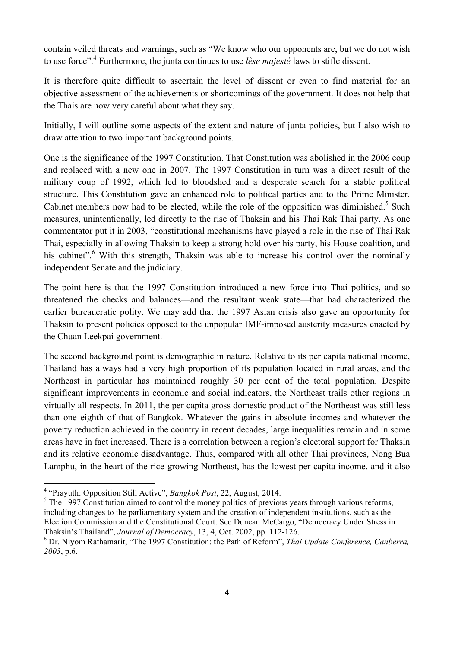contain veiled threats and warnings, such as "We know who our opponents are, but we do not wish to use force".<sup>4</sup> Furthermore, the junta continues to use *lèse majesté* laws to stifle dissent.

It is therefore quite difficult to ascertain the level of dissent or even to find material for an objective assessment of the achievements or shortcomings of the government. It does not help that the Thais are now very careful about what they say.

Initially, I will outline some aspects of the extent and nature of junta policies, but I also wish to draw attention to two important background points.

One is the significance of the 1997 Constitution. That Constitution was abolished in the 2006 coup and replaced with a new one in 2007. The 1997 Constitution in turn was a direct result of the military coup of 1992, which led to bloodshed and a desperate search for a stable political structure. This Constitution gave an enhanced role to political parties and to the Prime Minister. Cabinet members now had to be elected, while the role of the opposition was diminished.<sup>5</sup> Such measures, unintentionally, led directly to the rise of Thaksin and his Thai Rak Thai party. As one commentator put it in 2003, "constitutional mechanisms have played a role in the rise of Thai Rak Thai, especially in allowing Thaksin to keep a strong hold over his party, his House coalition, and his cabinet".<sup>6</sup> With this strength, Thaksin was able to increase his control over the nominally independent Senate and the judiciary.

The point here is that the 1997 Constitution introduced a new force into Thai politics, and so threatened the checks and balances—and the resultant weak state—that had characterized the earlier bureaucratic polity. We may add that the 1997 Asian crisis also gave an opportunity for Thaksin to present policies opposed to the unpopular IMF-imposed austerity measures enacted by the Chuan Leekpai government.

The second background point is demographic in nature. Relative to its per capita national income, Thailand has always had a very high proportion of its population located in rural areas, and the Northeast in particular has maintained roughly 30 per cent of the total population. Despite significant improvements in economic and social indicators, the Northeast trails other regions in virtually all respects. In 2011, the per capita gross domestic product of the Northeast was still less than one eighth of that of Bangkok. Whatever the gains in absolute incomes and whatever the poverty reduction achieved in the country in recent decades, large inequalities remain and in some areas have in fact increased. There is a correlation between a region's electoral support for Thaksin and its relative economic disadvantage. Thus, compared with all other Thai provinces, Nong Bua Lamphu, in the heart of the rice-growing Northeast, has the lowest per capita income, and it also

<u> 1989 - Jan Samuel Barbara, margaret e</u>

 $<sup>5</sup>$  The 1997 Constitution aimed to control the money politics of previous years through various reforms,</sup> including changes to the parliamentary system and the creation of independent institutions, such as the Election Commission and the Constitutional Court. See Duncan McCargo, "Democracy Under Stress in Thaksin's Thailand", *Journal of Democracy*, 13, 4, Oct. 2002, pp. 112-126.

<sup>4</sup> "Prayuth: Opposition Still Active", *Bangkok Post*, 22, August, 2014.

<sup>6</sup> Dr. Niyom Rathamarit, "The 1997 Constitution: the Path of Reform", *Thai Update Conference, Canberra, 2003*, p.6.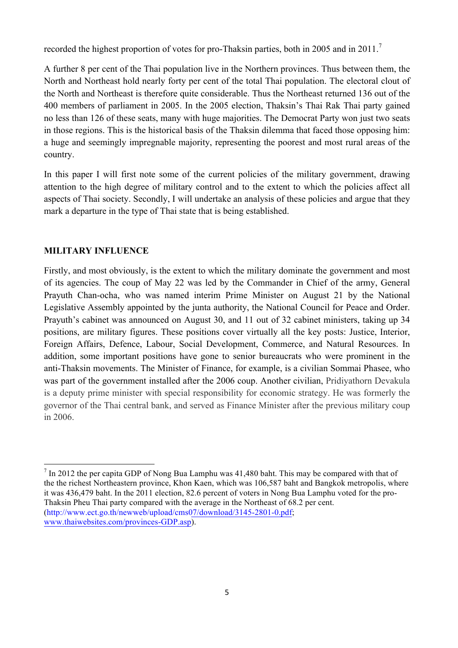recorded the highest proportion of votes for pro-Thaksin parties, both in 2005 and in 2011.<sup>7</sup>

A further 8 per cent of the Thai population live in the Northern provinces. Thus between them, the North and Northeast hold nearly forty per cent of the total Thai population. The electoral clout of the North and Northeast is therefore quite considerable. Thus the Northeast returned 136 out of the 400 members of parliament in 2005. In the 2005 election, Thaksin's Thai Rak Thai party gained no less than 126 of these seats, many with huge majorities. The Democrat Party won just two seats in those regions. This is the historical basis of the Thaksin dilemma that faced those opposing him: a huge and seemingly impregnable majority, representing the poorest and most rural areas of the country.

In this paper I will first note some of the current policies of the military government, drawing attention to the high degree of military control and to the extent to which the policies affect all aspects of Thai society. Secondly, I will undertake an analysis of these policies and argue that they mark a departure in the type of Thai state that is being established.

## **MILITARY INFLUENCE**

Firstly, and most obviously, is the extent to which the military dominate the government and most of its agencies. The coup of May 22 was led by the Commander in Chief of the army, General Prayuth Chan-ocha, who was named interim Prime Minister on August 21 by the National Legislative Assembly appointed by the junta authority, the National Council for Peace and Order. Prayuth's cabinet was announced on August 30, and 11 out of 32 cabinet ministers, taking up 34 positions, are military figures. These positions cover virtually all the key posts: Justice, Interior, Foreign Affairs, Defence, Labour, Social Development, Commerce, and Natural Resources. In addition, some important positions have gone to senior bureaucrats who were prominent in the anti-Thaksin movements. The Minister of Finance, for example, is a civilian Sommai Phasee, who was part of the government installed after the 2006 coup. Another civilian, Pridiyathorn Devakula is a deputy prime minister with special responsibility for economic strategy. He was formerly the governor of the Thai central bank, and served as Finance Minister after the previous military coup in 2006.

  $<sup>7</sup>$  In 2012 the per capita GDP of Nong Bua Lamphu was 41,480 baht. This may be compared with that of</sup> the the richest Northeastern province, Khon Kaen, which was 106,587 baht and Bangkok metropolis, where it was 436,479 baht. In the 2011 election, 82.6 percent of voters in Nong Bua Lamphu voted for the pro-Thaksin Pheu Thai party compared with the average in the Northeast of 68.2 per cent. (http://www.ect.go.th/newweb/upload/cms07/download/3145-2801-0.pdf; www.thaiwebsites.com/provinces-GDP.asp).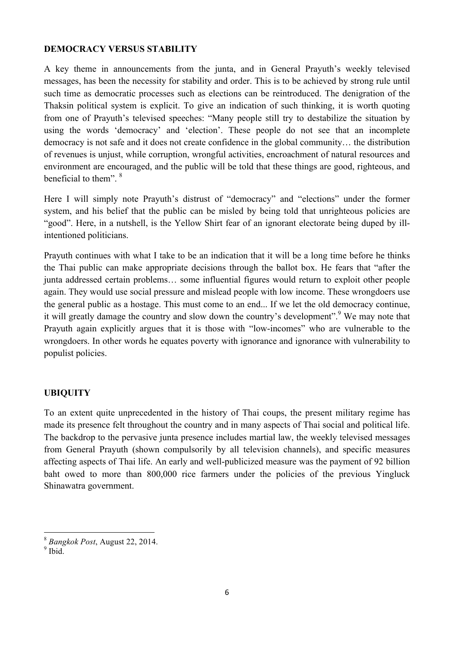#### **DEMOCRACY VERSUS STABILITY**

A key theme in announcements from the junta, and in General Prayuth's weekly televised messages, has been the necessity for stability and order. This is to be achieved by strong rule until such time as democratic processes such as elections can be reintroduced. The denigration of the Thaksin political system is explicit. To give an indication of such thinking, it is worth quoting from one of Prayuth's televised speeches: "Many people still try to destabilize the situation by using the words 'democracy' and 'election'. These people do not see that an incomplete democracy is not safe and it does not create confidence in the global community… the distribution of revenues is unjust, while corruption, wrongful activities, encroachment of natural resources and environment are encouraged, and the public will be told that these things are good, righteous, and beneficial to them". <sup>8</sup>

Here I will simply note Prayuth's distrust of "democracy" and "elections" under the former system, and his belief that the public can be misled by being told that unrighteous policies are "good". Here, in a nutshell, is the Yellow Shirt fear of an ignorant electorate being duped by illintentioned politicians.

Prayuth continues with what I take to be an indication that it will be a long time before he thinks the Thai public can make appropriate decisions through the ballot box. He fears that "after the junta addressed certain problems… some influential figures would return to exploit other people again. They would use social pressure and mislead people with low income. These wrongdoers use the general public as a hostage. This must come to an end... If we let the old democracy continue, it will greatly damage the country and slow down the country's development".<sup>9</sup> We may note that Prayuth again explicitly argues that it is those with "low-incomes" who are vulnerable to the wrongdoers. In other words he equates poverty with ignorance and ignorance with vulnerability to populist policies.

#### **UBIQUITY**

To an extent quite unprecedented in the history of Thai coups, the present military regime has made its presence felt throughout the country and in many aspects of Thai social and political life. The backdrop to the pervasive junta presence includes martial law, the weekly televised messages from General Prayuth (shown compulsorily by all television channels), and specific measures affecting aspects of Thai life. An early and well-publicized measure was the payment of 92 billion baht owed to more than 800,000 rice farmers under the policies of the previous Yingluck Shinawatra government.

<sup>&</sup>lt;u> 1989 - Jan Samuel Barbara, margaret e</u> <sup>8</sup> Bangkok Post, August 22, 2014.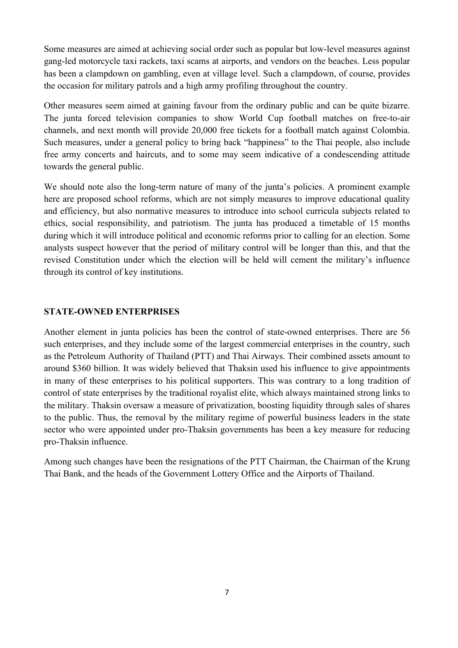Some measures are aimed at achieving social order such as popular but low-level measures against gang-led motorcycle taxi rackets, taxi scams at airports, and vendors on the beaches. Less popular has been a clampdown on gambling, even at village level. Such a clampdown, of course, provides the occasion for military patrols and a high army profiling throughout the country.

Other measures seem aimed at gaining favour from the ordinary public and can be quite bizarre. The junta forced television companies to show World Cup football matches on free-to-air channels, and next month will provide 20,000 free tickets for a football match against Colombia. Such measures, under a general policy to bring back "happiness" to the Thai people, also include free army concerts and haircuts, and to some may seem indicative of a condescending attitude towards the general public.

We should note also the long-term nature of many of the junta's policies. A prominent example here are proposed school reforms, which are not simply measures to improve educational quality and efficiency, but also normative measures to introduce into school curricula subjects related to ethics, social responsibility, and patriotism. The junta has produced a timetable of 15 months during which it will introduce political and economic reforms prior to calling for an election. Some analysts suspect however that the period of military control will be longer than this, and that the revised Constitution under which the election will be held will cement the military's influence through its control of key institutions.

### **STATE-OWNED ENTERPRISES**

Another element in junta policies has been the control of state-owned enterprises. There are 56 such enterprises, and they include some of the largest commercial enterprises in the country, such as the Petroleum Authority of Thailand (PTT) and Thai Airways. Their combined assets amount to around \$360 billion. It was widely believed that Thaksin used his influence to give appointments in many of these enterprises to his political supporters. This was contrary to a long tradition of control of state enterprises by the traditional royalist elite, which always maintained strong links to the military. Thaksin oversaw a measure of privatization, boosting liquidity through sales of shares to the public. Thus, the removal by the military regime of powerful business leaders in the state sector who were appointed under pro-Thaksin governments has been a key measure for reducing pro-Thaksin influence.

Among such changes have been the resignations of the PTT Chairman, the Chairman of the Krung Thai Bank, and the heads of the Government Lottery Office and the Airports of Thailand.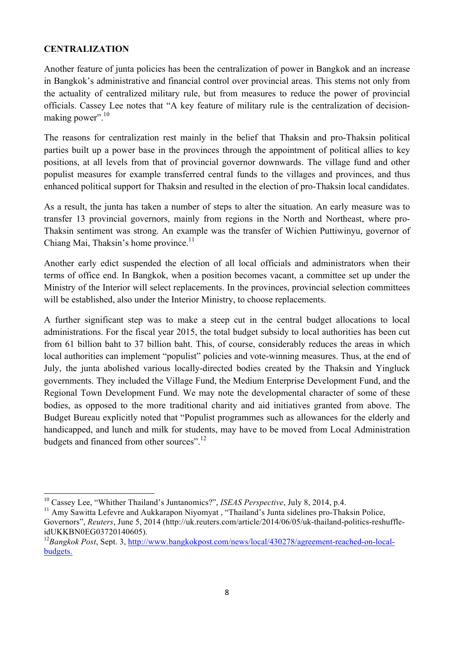### **CENTRALIZATION**

Another feature of junta policies has been the centralization of power in Bangkok and an increase in Bangkok's administrative and financial control over provincial areas. This stems not only from the actuality of centralized military rule, but from measures to reduce the power of provincial officials. Cassey Lee notes that "A key feature of military rule is the centralization of decisionmaking power". $10$ 

The reasons for centralization rest mainly in the belief that Thaksin and pro-Thaksin political parties built up a power base in the provinces through the appointment of political allies to key positions, at all levels from that of provincial governor downwards. The village fund and other populist measures for example transferred central funds to the villages and provinces, and thus enhanced political support for Thaksin and resulted in the election of pro-Thaksin local candidates.

As a result, the junta has taken a number of steps to alter the situation. An early measure was to transfer 13 provincial governors, mainly from regions in the North and Northeast, where pro-Thaksin sentiment was strong. An example was the transfer of Wichien Puttiwinyu, governor of Chiang Mai, Thaksin's home province.<sup>11</sup>

Another early edict suspended the election of all local officials and administrators when their terms of office end. In Bangkok, when a position becomes vacant, a committee set up under the Ministry of the Interior will select replacements. In the provinces, provincial selection committees will be established, also under the Interior Ministry, to choose replacements.

A further significant step was to make a steep cut in the central budget allocations to local administrations. For the fiscal year 2015, the total budget subsidy to local authorities has been cut from 61 billion baht to 37 billion baht. This, of course, considerably reduces the areas in which local authorities can implement "populist" policies and vote-winning measures. Thus, at the end of July, the junta abolished various locally-directed bodies created by the Thaksin and Yingluck governments. They included the Village Fund, the Medium Enterprise Development Fund, and the Regional Town Development Fund. We may note the developmental character of some of these bodies, as opposed to the more traditional charity and aid initiatives granted from above. The Budget Bureau explicitly noted that "Populist programmes such as allowances for the elderly and handicapped, and lunch and milk for students, may have to be moved from Local Administration budgets and financed from other sources".<sup>12</sup>

 

<sup>10</sup> Cassey Lee, "Whither Thailand's Juntanomics?", *ISEAS Perspective*, July 8, 2014, p.4.

<sup>&</sup>lt;sup>11</sup> Amy Sawitta Lefevre and Aukkarapon Niyomyat, "Thailand's Junta sidelines pro-Thaksin Police, Governors", *Reuters*, June 5, 2014 (http://uk.reuters.com/article/2014/06/05/uk-thailand-politics-reshuffleidUKKBN0EG03720140605).

<sup>12</sup>*Bangkok Post*, Sept. 3, http://www.bangkokpost.com/news/local/430278/agreement-reached-on-localbudgets.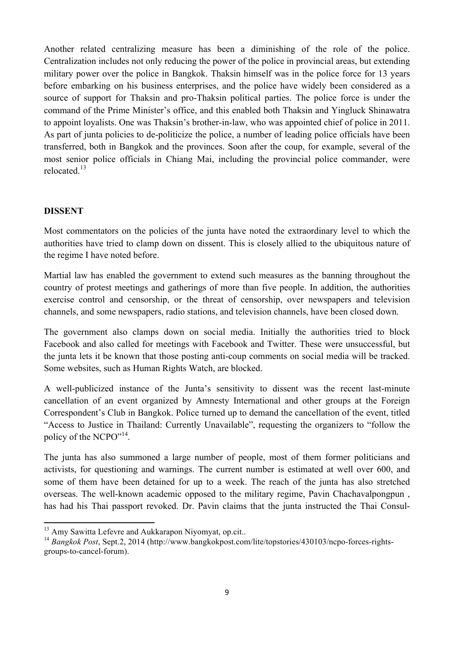Another related centralizing measure has been a diminishing of the role of the police. Centralization includes not only reducing the power of the police in provincial areas, but extending military power over the police in Bangkok. Thaksin himself was in the police force for 13 years before embarking on his business enterprises, and the police have widely been considered as a source of support for Thaksin and pro-Thaksin political parties. The police force is under the command of the Prime Minister's office, and this enabled both Thaksin and Yingluck Shinawatra to appoint loyalists. One was Thaksin's brother-in-law, who was appointed chief of police in 2011. As part of junta policies to de-politicize the police, a number of leading police officials have been transferred, both in Bangkok and the provinces. Soon after the coup, for example, several of the most senior police officials in Chiang Mai, including the provincial police commander, were relocated<sup>13</sup>

#### **DISSENT**

Most commentators on the policies of the junta have noted the extraordinary level to which the authorities have tried to clamp down on dissent. This is closely allied to the ubiquitous nature of the regime I have noted before.

Martial law has enabled the government to extend such measures as the banning throughout the country of protest meetings and gatherings of more than five people. In addition, the authorities exercise control and censorship, or the threat of censorship, over newspapers and television channels, and some newspapers, radio stations, and television channels, have been closed down.

The government also clamps down on social media. Initially the authorities tried to block Facebook and also called for meetings with Facebook and Twitter. These were unsuccessful, but the junta lets it be known that those posting anti-coup comments on social media will be tracked. Some websites, such as Human Rights Watch, are blocked.

A well-publicized instance of the Junta's sensitivity to dissent was the recent last-minute cancellation of an event organized by Amnesty International and other groups at the Foreign Correspondent's Club in Bangkok. Police turned up to demand the cancellation of the event, titled "Access to Justice in Thailand: Currently Unavailable", requesting the organizers to "follow the policy of the NCPO"<sup>14</sup>.

The junta has also summoned a large number of people, most of them former politicians and activists, for questioning and warnings. The current number is estimated at well over 600, and some of them have been detained for up to a week. The reach of the junta has also stretched overseas. The well-known academic opposed to the military regime, Pavin Chachavalpongpun , has had his Thai passport revoked. Dr. Pavin claims that the junta instructed the Thai Consul-

<u> 1989 - Jan Samuel Barbara, margaret e</u>

<sup>&</sup>lt;sup>13</sup> Amy Sawitta Lefevre and Aukkarapon Nivomyat, op.cit..

<sup>14</sup> *Bangkok Post*, Sept.2, 2014 (http://www.bangkokpost.com/lite/topstories/430103/ncpo-forces-rightsgroups-to-cancel-forum).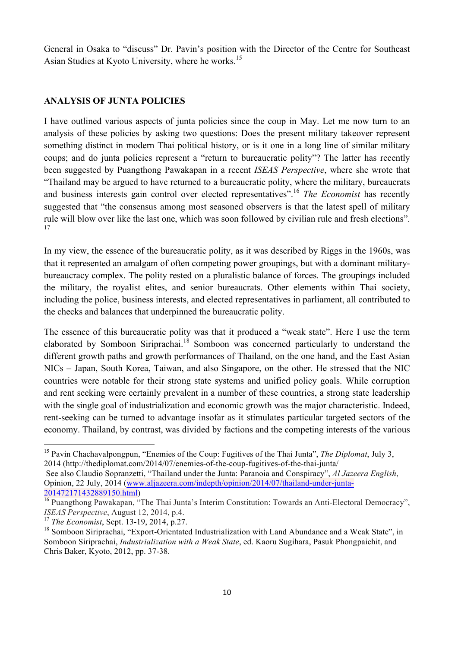General in Osaka to "discuss" Dr. Pavin's position with the Director of the Centre for Southeast Asian Studies at Kyoto University, where he works.<sup>15</sup>

#### **ANALYSIS OF JUNTA POLICIES**

I have outlined various aspects of junta policies since the coup in May. Let me now turn to an analysis of these policies by asking two questions: Does the present military takeover represent something distinct in modern Thai political history, or is it one in a long line of similar military coups; and do junta policies represent a "return to bureaucratic polity"? The latter has recently been suggested by Puangthong Pawakapan in a recent *ISEAS Perspective*, where she wrote that "Thailand may be argued to have returned to a bureaucratic polity, where the military, bureaucrats and business interests gain control over elected representatives".<sup>16</sup> *The Economist* has recently suggested that "the consensus among most seasoned observers is that the latest spell of military rule will blow over like the last one, which was soon followed by civilian rule and fresh elections". 17

In my view, the essence of the bureaucratic polity, as it was described by Riggs in the 1960s, was that it represented an amalgam of often competing power groupings, but with a dominant militarybureaucracy complex. The polity rested on a pluralistic balance of forces. The groupings included the military, the royalist elites, and senior bureaucrats. Other elements within Thai society, including the police, business interests, and elected representatives in parliament, all contributed to the checks and balances that underpinned the bureaucratic polity.

The essence of this bureaucratic polity was that it produced a "weak state". Here I use the term elaborated by Somboon Siriprachai.<sup>18</sup> Somboon was concerned particularly to understand the different growth paths and growth performances of Thailand, on the one hand, and the East Asian NICs – Japan, South Korea, Taiwan, and also Singapore, on the other. He stressed that the NIC countries were notable for their strong state systems and unified policy goals. While corruption and rent seeking were certainly prevalent in a number of these countries, a strong state leadership with the single goal of industrialization and economic growth was the major characteristic. Indeed, rent-seeking can be turned to advantage insofar as it stimulates particular targeted sectors of the economy. Thailand, by contrast, was divided by factions and the competing interests of the various

 

<sup>15</sup> Pavin Chachavalpongpun, "Enemies of the Coup: Fugitives of the Thai Junta", *The Diplomat*, July 3, 2014 (http://thediplomat.com/2014/07/enemies-of-the-coup-fugitives-of-the-thai-junta/

See also Claudio Sopranzetti, "Thailand under the Junta: Paranoia and Conspiracy", *Al Jazeera English*, Opinion, 22 July, 2014 (www.aljazeera.com/indepth/opinion/2014/07/thailand-under-junta-201472171432889150.html)

 $\frac{16}{16}$  Puangthong Pawakapan, "The Thai Junta's Interim Constitution: Towards an Anti-Electoral Democracy", *ISEAS Perspective*, August 12, 2014, p.4.<br><sup>17</sup> The Economist, Sept. 13-19, 2014, p.27.

<sup>&</sup>lt;sup>18</sup> Somboon Siriprachai, "Export-Orientated Industrialization with Land Abundance and a Weak State", in Somboon Siriprachai, *Industrialization with a Weak State*, ed. Kaoru Sugihara, Pasuk Phongpaichit, and Chris Baker, Kyoto, 2012, pp. 37-38.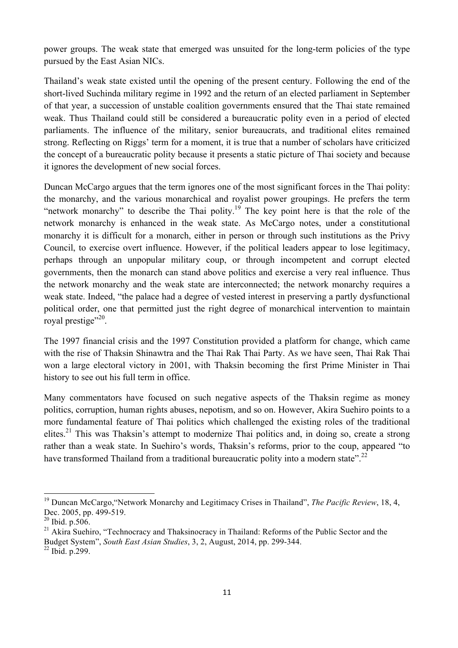power groups. The weak state that emerged was unsuited for the long-term policies of the type pursued by the East Asian NICs.

Thailand's weak state existed until the opening of the present century. Following the end of the short-lived Suchinda military regime in 1992 and the return of an elected parliament in September of that year, a succession of unstable coalition governments ensured that the Thai state remained weak. Thus Thailand could still be considered a bureaucratic polity even in a period of elected parliaments. The influence of the military, senior bureaucrats, and traditional elites remained strong. Reflecting on Riggs' term for a moment, it is true that a number of scholars have criticized the concept of a bureaucratic polity because it presents a static picture of Thai society and because it ignores the development of new social forces.

Duncan McCargo argues that the term ignores one of the most significant forces in the Thai polity: the monarchy, and the various monarchical and royalist power groupings. He prefers the term "network monarchy" to describe the Thai polity.<sup>19</sup> The key point here is that the role of the network monarchy is enhanced in the weak state. As McCargo notes, under a constitutional monarchy it is difficult for a monarch, either in person or through such institutions as the Privy Council, to exercise overt influence. However, if the political leaders appear to lose legitimacy, perhaps through an unpopular military coup, or through incompetent and corrupt elected governments, then the monarch can stand above politics and exercise a very real influence. Thus the network monarchy and the weak state are interconnected; the network monarchy requires a weak state. Indeed, "the palace had a degree of vested interest in preserving a partly dysfunctional political order, one that permitted just the right degree of monarchical intervention to maintain royal prestige"<sup>20</sup>.

The 1997 financial crisis and the 1997 Constitution provided a platform for change, which came with the rise of Thaksin Shinawtra and the Thai Rak Thai Party. As we have seen, Thai Rak Thai won a large electoral victory in 2001, with Thaksin becoming the first Prime Minister in Thai history to see out his full term in office.

Many commentators have focused on such negative aspects of the Thaksin regime as money politics, corruption, human rights abuses, nepotism, and so on. However, Akira Suehiro points to a more fundamental feature of Thai politics which challenged the existing roles of the traditional elites.<sup>21</sup> This was Thaksin's attempt to modernize Thai politics and, in doing so, create a strong rather than a weak state. In Suehiro's words, Thaksin's reforms, prior to the coup, appeared "to have transformed Thailand from a traditional bureaucratic polity into a modern state".<sup>22</sup>

 

<sup>19</sup> Duncan McCargo,"Network Monarchy and Legitimacy Crises in Thailand", *The Pacific Review*, 18, 4, Dec. 2005, pp. 499-519.

 $^{20}$  Ibid. p.506.

<sup>&</sup>lt;sup>21</sup> Akira Suehiro, "Technocracy and Thaksinocracy in Thailand: Reforms of the Public Sector and the Budget System", *South East Asian Studies*, 3, 2, August, 2014, pp. 299-344.

<sup>22</sup> Ibid. p.299.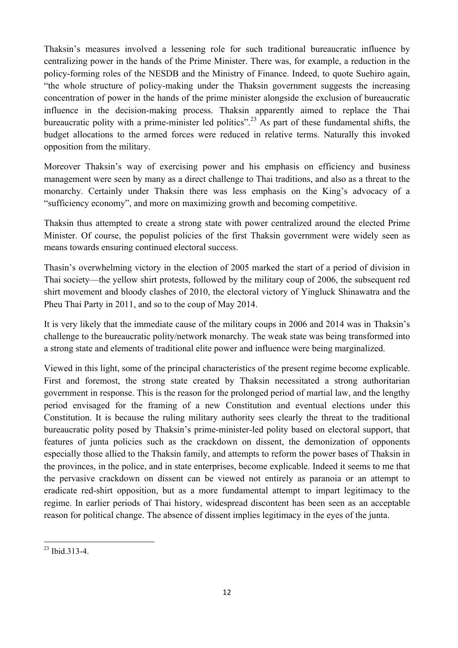Thaksin's measures involved a lessening role for such traditional bureaucratic influence by centralizing power in the hands of the Prime Minister. There was, for example, a reduction in the policy-forming roles of the NESDB and the Ministry of Finance. Indeed, to quote Suehiro again, "the whole structure of policy-making under the Thaksin government suggests the increasing concentration of power in the hands of the prime minister alongside the exclusion of bureaucratic influence in the decision-making process. Thaksin apparently aimed to replace the Thai bureaucratic polity with a prime-minister led politics".<sup>23</sup> As part of these fundamental shifts, the budget allocations to the armed forces were reduced in relative terms. Naturally this invoked opposition from the military.

Moreover Thaksin's way of exercising power and his emphasis on efficiency and business management were seen by many as a direct challenge to Thai traditions, and also as a threat to the monarchy. Certainly under Thaksin there was less emphasis on the King's advocacy of a "sufficiency economy", and more on maximizing growth and becoming competitive.

Thaksin thus attempted to create a strong state with power centralized around the elected Prime Minister. Of course, the populist policies of the first Thaksin government were widely seen as means towards ensuring continued electoral success.

Thasin's overwhelming victory in the election of 2005 marked the start of a period of division in Thai society—the yellow shirt protests, followed by the military coup of 2006, the subsequent red shirt movement and bloody clashes of 2010, the electoral victory of Yingluck Shinawatra and the Pheu Thai Party in 2011, and so to the coup of May 2014.

It is very likely that the immediate cause of the military coups in 2006 and 2014 was in Thaksin's challenge to the bureaucratic polity/network monarchy. The weak state was being transformed into a strong state and elements of traditional elite power and influence were being marginalized.

Viewed in this light, some of the principal characteristics of the present regime become explicable. First and foremost, the strong state created by Thaksin necessitated a strong authoritarian government in response. This is the reason for the prolonged period of martial law, and the lengthy period envisaged for the framing of a new Constitution and eventual elections under this Constitution. It is because the ruling military authority sees clearly the threat to the traditional bureaucratic polity posed by Thaksin's prime-minister-led polity based on electoral support, that features of junta policies such as the crackdown on dissent, the demonization of opponents especially those allied to the Thaksin family, and attempts to reform the power bases of Thaksin in the provinces, in the police, and in state enterprises, become explicable. Indeed it seems to me that the pervasive crackdown on dissent can be viewed not entirely as paranoia or an attempt to eradicate red-shirt opposition, but as a more fundamental attempt to impart legitimacy to the regime. In earlier periods of Thai history, widespread discontent has been seen as an acceptable reason for political change. The absence of dissent implies legitimacy in the eyes of the junta.

<u> 1989 - Jan Samuel Barbara, margaret e</u>

<sup>23</sup> Ibid.313-4.